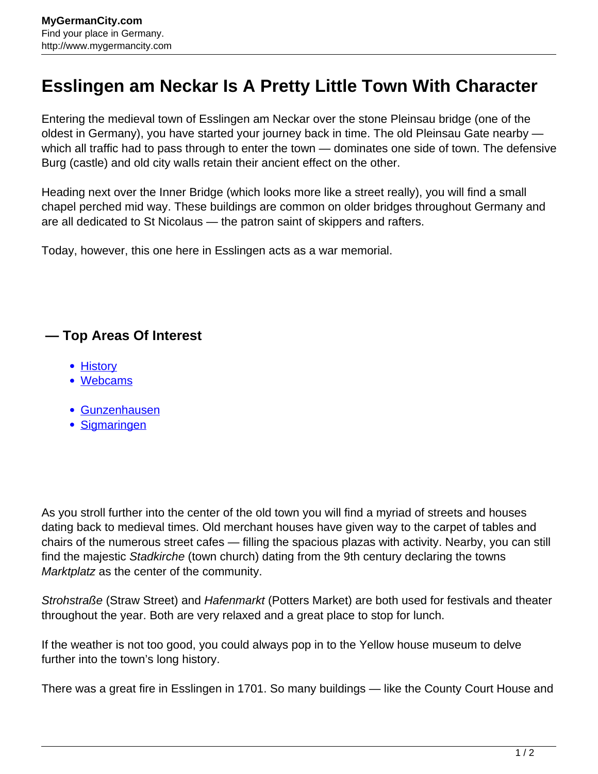## **Esslingen am Neckar Is A Pretty Little Town With Character**

Entering the medieval town of Esslingen am Neckar over the stone Pleinsau bridge (one of the oldest in Germany), you have started your journey back in time. The old Pleinsau Gate nearby which all traffic had to pass through to enter the town — dominates one side of town. The defensive Burg (castle) and old city walls retain their ancient effect on the other.

Heading next over the Inner Bridge (which looks more like a street really), you will find a small chapel perched mid way. These buildings are common on older bridges throughout Germany and are all dedicated to St Nicolaus — the patron saint of skippers and rafters.

Today, however, this one here in Esslingen acts as a war memorial.

## **— Top Areas Of Interest**

- [History](http://www.mygermancity.com/leipzig-history)
- [Webcams](http://www.mygermancity.com/neustadt-holstein-webcams)
- [Gunzenhausen](http://www.mygermancity.com/gunzenhausen)
- [Sigmaringen](http://www.mygermancity.com/sigmaringen)

As you stroll further into the center of the old town you will find a myriad of streets and houses dating back to medieval times. Old merchant houses have given way to the carpet of tables and chairs of the numerous street cafes — filling the spacious plazas with activity. Nearby, you can still find the majestic Stadkirche (town church) dating from the 9th century declaring the towns Marktplatz as the center of the community.

Strohstraße (Straw Street) and Hafenmarkt (Potters Market) are both used for festivals and theater throughout the year. Both are very relaxed and a great place to stop for lunch.

If the weather is not too good, you could always pop in to the Yellow house museum to delve further into the town's long history.

There was a great fire in Esslingen in 1701. So many buildings — like the County Court House and